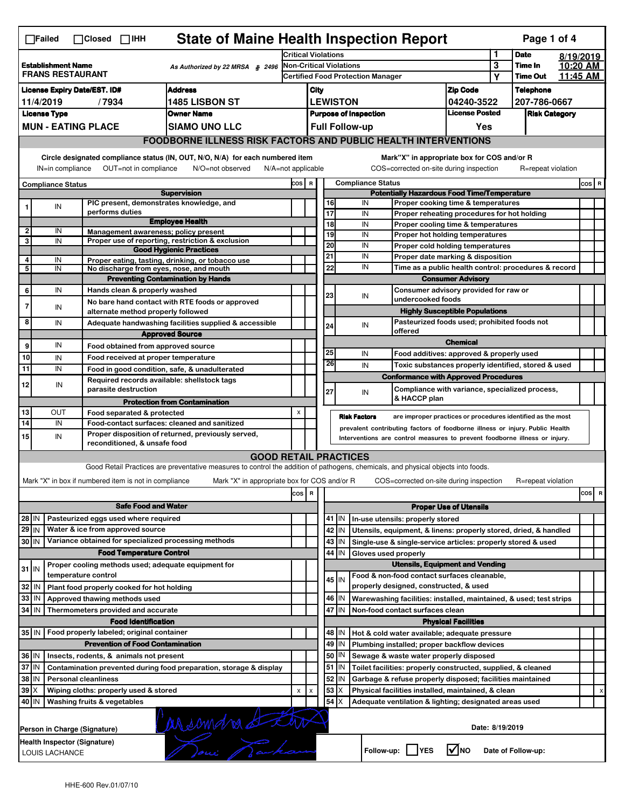| <b>State of Maine Health Inspection Report</b><br>Page 1 of 4<br>∏Failed<br>$\Box$ Closed<br>$\Box$ IHH                                                               |                                                                                                                                  |                              |                                                       |                                                                                                                                   |                                                                                          |                                                       |                                                          |         |                          |                                                                                        |                          |                            |                      |          |         |  |
|-----------------------------------------------------------------------------------------------------------------------------------------------------------------------|----------------------------------------------------------------------------------------------------------------------------------|------------------------------|-------------------------------------------------------|-----------------------------------------------------------------------------------------------------------------------------------|------------------------------------------------------------------------------------------|-------------------------------------------------------|----------------------------------------------------------|---------|--------------------------|----------------------------------------------------------------------------------------|--------------------------|----------------------------|----------------------|----------|---------|--|
|                                                                                                                                                                       |                                                                                                                                  |                              |                                                       | <b>Critical Violations</b>                                                                                                        |                                                                                          |                                                       |                                                          |         |                          |                                                                                        | 1                        | <b>Date</b>                | 8/19/2019            |          |         |  |
| <b>Establishment Name</b><br>As Authorized by 22 MRSA $$2496$<br><b>FRANS RESTAURANT</b>                                                                              |                                                                                                                                  |                              |                                                       |                                                                                                                                   | Non-Critical Violations<br><b>Certified Food Protection Manager</b>                      |                                                       |                                                          |         |                          |                                                                                        | 3                        | Time In<br><b>Time Out</b> | 10:20 AM             |          |         |  |
|                                                                                                                                                                       |                                                                                                                                  |                              |                                                       |                                                                                                                                   |                                                                                          |                                                       |                                                          |         |                          |                                                                                        |                          | Υ                          |                      | 11:45 AM |         |  |
| <b>License Expiry Date/EST. ID#</b><br><b>Address</b>                                                                                                                 |                                                                                                                                  |                              |                                                       |                                                                                                                                   |                                                                                          | City                                                  |                                                          |         |                          |                                                                                        | <b>Zip Code</b>          |                            | <b>Telephone</b>     |          |         |  |
| <b>1485 LISBON ST</b><br>11/4/2019<br>/7934                                                                                                                           |                                                                                                                                  |                              |                                                       |                                                                                                                                   |                                                                                          | <b>LEWISTON</b><br>04240-3522                         |                                                          |         |                          |                                                                                        | <b>License Posted</b>    |                            | 207-786-0667         |          |         |  |
| <b>License Type</b><br><b>Owner Name</b>                                                                                                                              |                                                                                                                                  |                              |                                                       |                                                                                                                                   |                                                                                          | <b>Purpose of Inspection</b><br><b>Full Follow-up</b> |                                                          |         |                          |                                                                                        |                          |                            | <b>Risk Category</b> |          |         |  |
| <b>MUN - EATING PLACE</b><br><b>SIAMO UNO LLC</b>                                                                                                                     |                                                                                                                                  |                              |                                                       |                                                                                                                                   |                                                                                          |                                                       |                                                          |         |                          |                                                                                        | Yes                      |                            |                      |          |         |  |
|                                                                                                                                                                       | <b>FOODBORNE ILLNESS RISK FACTORS AND PUBLIC HEALTH INTERVENTIONS</b>                                                            |                              |                                                       |                                                                                                                                   |                                                                                          |                                                       |                                                          |         |                          |                                                                                        |                          |                            |                      |          |         |  |
| Circle designated compliance status (IN, OUT, N/O, N/A) for each numbered item<br>OUT=not in compliance<br>N/A=not applicable<br>IN=in compliance<br>N/O=not observed |                                                                                                                                  |                              |                                                       |                                                                                                                                   |                                                                                          |                                                       |                                                          |         |                          | Mark"X" in appropriate box for COS and/or R<br>COS=corrected on-site during inspection |                          |                            | R=repeat violation   |          |         |  |
| <b>Compliance Status</b>                                                                                                                                              |                                                                                                                                  |                              |                                                       |                                                                                                                                   |                                                                                          | COS R                                                 |                                                          |         | <b>Compliance Status</b> |                                                                                        |                          |                            |                      |          | $cos$ R |  |
| <b>Supervision</b>                                                                                                                                                    |                                                                                                                                  |                              |                                                       |                                                                                                                                   | <b>Potentially Hazardous Food Time/Temperature</b><br>Proper cooking time & temperatures |                                                       |                                                          |         |                          |                                                                                        |                          |                            |                      |          |         |  |
| 1                                                                                                                                                                     | IN                                                                                                                               |                              | performs duties                                       | PIC present, demonstrates knowledge, and                                                                                          |                                                                                          |                                                       | 16<br>17                                                 |         | IN<br>IN                 |                                                                                        |                          |                            |                      |          |         |  |
|                                                                                                                                                                       |                                                                                                                                  |                              |                                                       | <b>Employee Health</b>                                                                                                            |                                                                                          |                                                       | 18                                                       |         | IN                       | Proper reheating procedures for hot holding<br>Proper cooling time & temperatures      |                          |                            |                      |          |         |  |
| $\overline{2}$                                                                                                                                                        | IN                                                                                                                               |                              |                                                       | Management awareness; policy present                                                                                              |                                                                                          |                                                       | 19                                                       |         | IN                       | Proper hot holding temperatures                                                        |                          |                            |                      |          |         |  |
| 3                                                                                                                                                                     | IN                                                                                                                               |                              |                                                       | Proper use of reporting, restriction & exclusion                                                                                  |                                                                                          |                                                       | 20                                                       |         | IN                       | Proper cold holding temperatures                                                       |                          |                            |                      |          |         |  |
| 4                                                                                                                                                                     | IN                                                                                                                               |                              |                                                       | <b>Good Hygienic Practices</b><br>Proper eating, tasting, drinking, or tobacco use                                                |                                                                                          |                                                       | 21                                                       |         | IN                       | Proper date marking & disposition                                                      |                          |                            |                      |          |         |  |
| 5                                                                                                                                                                     | IN                                                                                                                               |                              |                                                       | No discharge from eyes, nose, and mouth                                                                                           |                                                                                          |                                                       | 22                                                       |         | IN                       | Time as a public health control: procedures & record                                   |                          |                            |                      |          |         |  |
|                                                                                                                                                                       |                                                                                                                                  |                              |                                                       | <b>Preventing Contamination by Hands</b>                                                                                          |                                                                                          |                                                       |                                                          |         |                          |                                                                                        | <b>Consumer Advisory</b> |                            |                      |          |         |  |
| 6                                                                                                                                                                     | IN                                                                                                                               |                              | Hands clean & properly washed                         |                                                                                                                                   |                                                                                          |                                                       | Consumer advisory provided for raw or                    |         |                          |                                                                                        |                          |                            |                      |          |         |  |
|                                                                                                                                                                       |                                                                                                                                  |                              |                                                       | No bare hand contact with RTE foods or approved                                                                                   |                                                                                          |                                                       | 23                                                       |         | IN<br>undercooked foods  |                                                                                        |                          |                            |                      |          |         |  |
| $\overline{7}$                                                                                                                                                        | IN                                                                                                                               |                              | alternate method properly followed                    |                                                                                                                                   |                                                                                          |                                                       |                                                          |         |                          | <b>Highly Susceptible Populations</b>                                                  |                          |                            |                      |          |         |  |
| 8                                                                                                                                                                     | IN                                                                                                                               |                              |                                                       | Adequate handwashing facilities supplied & accessible                                                                             |                                                                                          |                                                       | 24                                                       |         | IN                       | Pasteurized foods used; prohibited foods not                                           |                          |                            |                      |          |         |  |
|                                                                                                                                                                       |                                                                                                                                  |                              |                                                       | <b>Approved Source</b>                                                                                                            |                                                                                          | offered                                               |                                                          |         |                          |                                                                                        |                          |                            |                      |          |         |  |
| 9                                                                                                                                                                     | IN                                                                                                                               |                              |                                                       | Food obtained from approved source                                                                                                |                                                                                          |                                                       |                                                          |         |                          |                                                                                        | <b>Chemical</b>          |                            |                      |          |         |  |
| 10                                                                                                                                                                    | IN                                                                                                                               |                              | Food received at proper temperature                   |                                                                                                                                   |                                                                                          |                                                       | 25                                                       |         | IN                       | Food additives: approved & properly used                                               |                          |                            |                      |          |         |  |
| 11                                                                                                                                                                    | IN                                                                                                                               |                              |                                                       | Food in good condition, safe, & unadulterated                                                                                     |                                                                                          |                                                       | 26                                                       |         | IN                       | Toxic substances properly identified, stored & used                                    |                          |                            |                      |          |         |  |
| 12                                                                                                                                                                    | IN                                                                                                                               |                              |                                                       | Required records available: shellstock tags                                                                                       |                                                                                          |                                                       |                                                          |         |                          | <b>Conformance with Approved Procedures</b>                                            |                          |                            |                      |          |         |  |
|                                                                                                                                                                       |                                                                                                                                  |                              | parasite destruction                                  |                                                                                                                                   |                                                                                          |                                                       | 27                                                       |         | IN                       | Compliance with variance, specialized process,                                         |                          |                            |                      |          |         |  |
|                                                                                                                                                                       |                                                                                                                                  |                              |                                                       | <b>Protection from Contamination</b>                                                                                              |                                                                                          |                                                       |                                                          |         |                          | & HACCP plan                                                                           |                          |                            |                      |          |         |  |
| 13                                                                                                                                                                    | OUT                                                                                                                              |                              | Food separated & protected                            |                                                                                                                                   | X                                                                                        |                                                       |                                                          |         | <b>Risk Factors</b>      | are improper practices or procedures identified as the most                            |                          |                            |                      |          |         |  |
| 14                                                                                                                                                                    | IN                                                                                                                               |                              |                                                       | Food-contact surfaces: cleaned and sanitized                                                                                      | prevalent contributing factors of foodborne illness or injury. Public Health             |                                                       |                                                          |         |                          |                                                                                        |                          |                            |                      |          |         |  |
| 15                                                                                                                                                                    | IN                                                                                                                               |                              | reconditioned, & unsafe food                          | Proper disposition of returned, previously served,                                                                                |                                                                                          |                                                       |                                                          |         |                          | Interventions are control measures to prevent foodborne illness or injury.             |                          |                            |                      |          |         |  |
|                                                                                                                                                                       |                                                                                                                                  |                              |                                                       | <b>GOOD RETAIL PRACTICES</b>                                                                                                      |                                                                                          |                                                       |                                                          |         |                          |                                                                                        |                          |                            |                      |          |         |  |
|                                                                                                                                                                       |                                                                                                                                  |                              |                                                       | Good Retail Practices are preventative measures to control the addition of pathogens, chemicals, and physical objects into foods. |                                                                                          |                                                       |                                                          |         |                          |                                                                                        |                          |                            |                      |          |         |  |
|                                                                                                                                                                       |                                                                                                                                  |                              |                                                       |                                                                                                                                   |                                                                                          |                                                       |                                                          |         |                          |                                                                                        |                          |                            |                      |          |         |  |
|                                                                                                                                                                       |                                                                                                                                  |                              | Mark "X" in box if numbered item is not in compliance | Mark "X" in appropriate box for COS and/or R                                                                                      |                                                                                          |                                                       |                                                          |         |                          | COS=corrected on-site during inspection                                                |                          |                            | R=repeat violation   |          |         |  |
| R<br>cos                                                                                                                                                              |                                                                                                                                  |                              |                                                       |                                                                                                                                   |                                                                                          |                                                       | cos                                                      | R       |                          |                                                                                        |                          |                            |                      |          |         |  |
|                                                                                                                                                                       |                                                                                                                                  |                              | <b>Safe Food and Water</b>                            |                                                                                                                                   |                                                                                          |                                                       | <b>Proper Use of Utensils</b>                            |         |                          |                                                                                        |                          |                            |                      |          |         |  |
| Pasteurized eggs used where required<br>28 IN                                                                                                                         |                                                                                                                                  |                              |                                                       |                                                                                                                                   |                                                                                          |                                                       |                                                          | 41 J IN |                          | In-use utensils: properly stored                                                       |                          |                            |                      |          |         |  |
| $29$ IN                                                                                                                                                               |                                                                                                                                  |                              | Water & ice from approved source                      |                                                                                                                                   |                                                                                          |                                                       | 42                                                       | IN      |                          | Utensils, equipment, & linens: properly stored, dried, & handled                       |                          |                            |                      |          |         |  |
| 30 IN                                                                                                                                                                 |                                                                                                                                  |                              |                                                       | Variance obtained for specialized processing methods                                                                              |                                                                                          |                                                       |                                                          | 43   IN |                          | Single-use & single-service articles: properly stored & used                           |                          |                            |                      |          |         |  |
| <b>Food Temperature Control</b>                                                                                                                                       |                                                                                                                                  |                              |                                                       |                                                                                                                                   |                                                                                          |                                                       |                                                          | 44 IN   | Gloves used properly     |                                                                                        |                          |                            |                      |          |         |  |
| $31$ IN                                                                                                                                                               |                                                                                                                                  |                              |                                                       | Proper cooling methods used; adequate equipment for                                                                               |                                                                                          |                                                       |                                                          |         |                          | <b>Utensils, Equipment and Vending</b>                                                 |                          |                            |                      |          |         |  |
|                                                                                                                                                                       |                                                                                                                                  | temperature control          |                                                       |                                                                                                                                   |                                                                                          |                                                       |                                                          | $45$ IN |                          | Food & non-food contact surfaces cleanable,                                            |                          |                            |                      |          |         |  |
| 32                                                                                                                                                                    | l IN                                                                                                                             |                              | Plant food properly cooked for hot holding            |                                                                                                                                   |                                                                                          |                                                       |                                                          |         |                          | properly designed, constructed, & used                                                 |                          |                            |                      |          |         |  |
| 33                                                                                                                                                                    | IN                                                                                                                               |                              | Approved thawing methods used                         |                                                                                                                                   |                                                                                          |                                                       |                                                          | 46 IN   |                          | Warewashing facilities: installed, maintained, & used; test strips                     |                          |                            |                      |          |         |  |
| 34                                                                                                                                                                    | IN                                                                                                                               |                              | Thermometers provided and accurate                    |                                                                                                                                   |                                                                                          | 47<br>IN<br>Non-food contact surfaces clean           |                                                          |         |                          |                                                                                        |                          |                            |                      |          |         |  |
|                                                                                                                                                                       |                                                                                                                                  |                              | <b>Food Identification</b>                            |                                                                                                                                   | <b>Physical Facilities</b>                                                               |                                                       |                                                          |         |                          |                                                                                        |                          |                            |                      |          |         |  |
|                                                                                                                                                                       | 35 IN   Food properly labeled; original container                                                                                |                              |                                                       |                                                                                                                                   |                                                                                          |                                                       | 48   IN<br>Hot & cold water available; adequate pressure |         |                          |                                                                                        |                          |                            |                      |          |         |  |
|                                                                                                                                                                       |                                                                                                                                  |                              | <b>Prevention of Food Contamination</b>               |                                                                                                                                   |                                                                                          |                                                       |                                                          | 49 IN   |                          | Plumbing installed; proper backflow devices                                            |                          |                            |                      |          |         |  |
| 36 IN                                                                                                                                                                 |                                                                                                                                  |                              | Insects, rodents, & animals not present               |                                                                                                                                   |                                                                                          |                                                       | 50                                                       | IN      |                          | Sewage & waste water properly disposed                                                 |                          |                            |                      |          |         |  |
| 37 IN                                                                                                                                                                 |                                                                                                                                  |                              |                                                       | Contamination prevented during food preparation, storage & display                                                                |                                                                                          |                                                       | 51                                                       | IN      |                          | Toilet facilities: properly constructed, supplied, & cleaned                           |                          |                            |                      |          |         |  |
| 38 IN                                                                                                                                                                 |                                                                                                                                  | <b>Personal cleanliness</b>  |                                                       |                                                                                                                                   |                                                                                          |                                                       | 52                                                       | IN      |                          | Garbage & refuse properly disposed; facilities maintained                              |                          |                            |                      |          |         |  |
|                                                                                                                                                                       | $39 \times$<br>53<br>Wiping cloths: properly used & stored<br>ΙX<br>Physical facilities installed, maintained, & clean<br>X<br>x |                              |                                                       |                                                                                                                                   |                                                                                          |                                                       |                                                          | х       |                          |                                                                                        |                          |                            |                      |          |         |  |
| 54<br>Ιx<br>40 IN<br>Washing fruits & vegetables<br>Adequate ventilation & lighting; designated areas used                                                            |                                                                                                                                  |                              |                                                       |                                                                                                                                   |                                                                                          |                                                       |                                                          |         |                          |                                                                                        |                          |                            |                      |          |         |  |
|                                                                                                                                                                       |                                                                                                                                  |                              |                                                       |                                                                                                                                   |                                                                                          |                                                       |                                                          |         |                          |                                                                                        |                          |                            |                      |          |         |  |
|                                                                                                                                                                       |                                                                                                                                  | Person in Charge (Signature) |                                                       |                                                                                                                                   |                                                                                          |                                                       |                                                          |         |                          |                                                                                        |                          | Date: 8/19/2019            |                      |          |         |  |
|                                                                                                                                                                       |                                                                                                                                  | Health Inspector (Signature) |                                                       |                                                                                                                                   |                                                                                          |                                                       |                                                          |         |                          |                                                                                        |                          |                            |                      |          |         |  |
|                                                                                                                                                                       | arsomdre de Etro<br>$\sqrt{ }$ NO<br>Follow-up: YES<br>Date of Follow-up:<br>LOUIS LACHANCE                                      |                              |                                                       |                                                                                                                                   |                                                                                          |                                                       |                                                          |         |                          |                                                                                        |                          |                            |                      |          |         |  |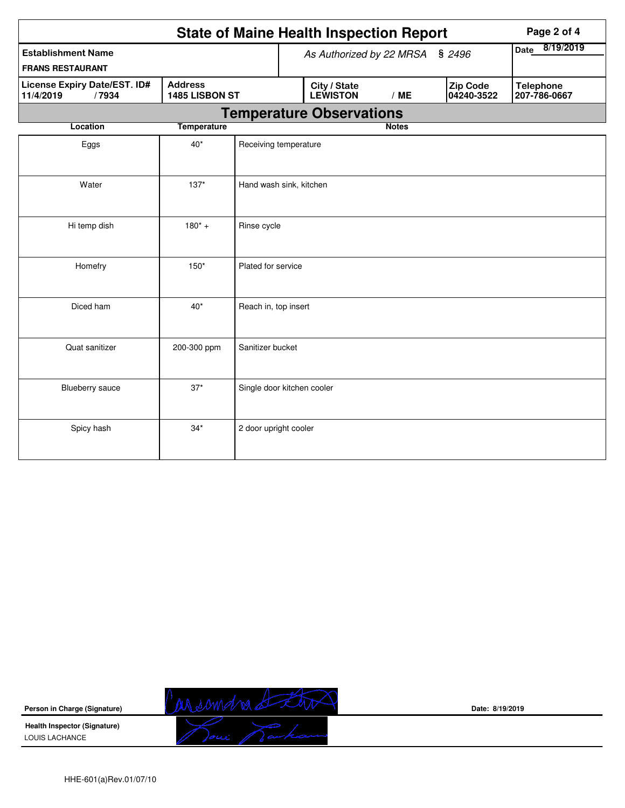|                                                    | Page 2 of 4        |                                 |                                 |                               |                                  |  |  |  |  |
|----------------------------------------------------|--------------------|---------------------------------|---------------------------------|-------------------------------|----------------------------------|--|--|--|--|
| <b>Establishment Name</b>                          |                    |                                 | As Authorized by 22 MRSA § 2496 | 8/19/2019<br><b>Date</b>      |                                  |  |  |  |  |
| <b>FRANS RESTAURANT</b>                            |                    |                                 |                                 |                               |                                  |  |  |  |  |
| License Expiry Date/EST. ID#<br>11/4/2019<br>/7934 | 1485 LISBON ST     | City / State<br><b>LEWISTON</b> | /ME                             | <b>Zip Code</b><br>04240-3522 | <b>Telephone</b><br>207-786-0667 |  |  |  |  |
| <b>Temperature Observations</b>                    |                    |                                 |                                 |                               |                                  |  |  |  |  |
| Location                                           | <b>Temperature</b> |                                 |                                 | <b>Notes</b>                  |                                  |  |  |  |  |
| Eggs                                               | $40*$              | Receiving temperature           |                                 |                               |                                  |  |  |  |  |
| Water                                              | $137*$             | Hand wash sink, kitchen         |                                 |                               |                                  |  |  |  |  |
| Hi temp dish                                       | $180^* +$          | Rinse cycle                     |                                 |                               |                                  |  |  |  |  |
| Homefry                                            | $150*$             | Plated for service              |                                 |                               |                                  |  |  |  |  |
| Diced ham                                          | $40*$              | Reach in, top insert            |                                 |                               |                                  |  |  |  |  |
| Quat sanitizer                                     | 200-300 ppm        | Sanitizer bucket                |                                 |                               |                                  |  |  |  |  |
| Blueberry sauce                                    | $37*$              | Single door kitchen cooler      |                                 |                               |                                  |  |  |  |  |
| Spicy hash                                         | $34*$              | 2 door upright cooler           |                                 |                               |                                  |  |  |  |  |



**Date: 8/19/2019**

HHE-601(a)Rev.01/07/10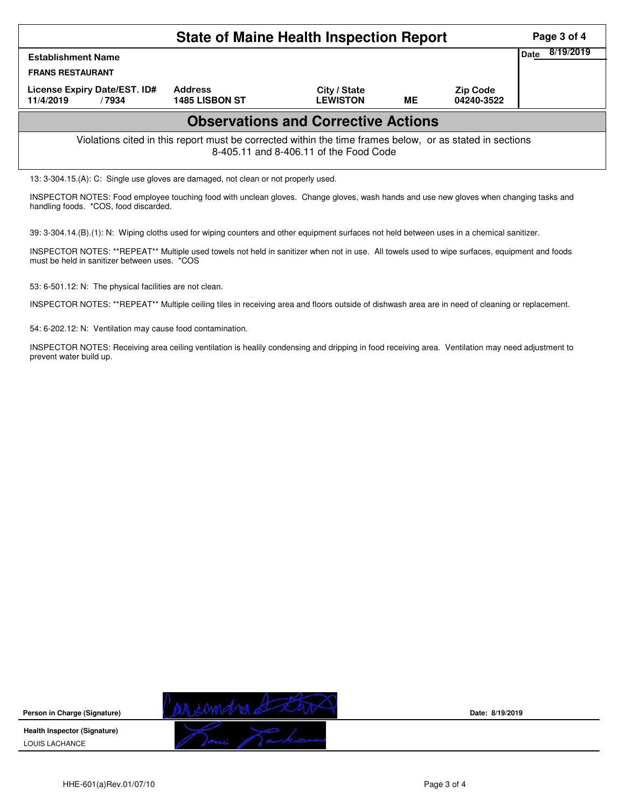|                                                                                                                                                    | Page 3 of 4<br>8/19/2019                |                                 |           |                               |  |  |  |  |  |  |
|----------------------------------------------------------------------------------------------------------------------------------------------------|-----------------------------------------|---------------------------------|-----------|-------------------------------|--|--|--|--|--|--|
| <b>Date</b><br><b>Establishment Name</b><br><b>FRANS RESTAURANT</b>                                                                                |                                         |                                 |           |                               |  |  |  |  |  |  |
| License Expiry Date/EST. ID#<br>11/4/2019<br>/7934                                                                                                 | <b>Address</b><br><b>1485 LISBON ST</b> | City / State<br><b>LEWISTON</b> | <b>ME</b> | <b>Zip Code</b><br>04240-3522 |  |  |  |  |  |  |
| <b>Observations and Corrective Actions</b>                                                                                                         |                                         |                                 |           |                               |  |  |  |  |  |  |
| Violations cited in this report must be corrected within the time frames below, or as stated in sections<br>8-405.11 and 8-406.11 of the Food Code |                                         |                                 |           |                               |  |  |  |  |  |  |
| 13: 3-304.15.(A): C: Single use gloves are damaged, not clean or not properly used.                                                                |                                         |                                 |           |                               |  |  |  |  |  |  |

INSPECTOR NOTES: Food employee touching food with unclean gloves. Change gloves, wash hands and use new gloves when changing tasks and handling foods. \*COS, food discarded.

39: 3-304.14.(B).(1): N: Wiping cloths used for wiping counters and other equipment surfaces not held between uses in a chemical sanitizer.

INSPECTOR NOTES: \*\*REPEAT\*\* Multiple used towels not held in sanitizer when not in use. All towels used to wipe surfaces, equipment and foods must be held in sanitizer between uses. \*COS

53: 6-501.12: N: The physical facilities are not clean.

INSPECTOR NOTES: \*\*REPEAT\*\* Multiple ceiling tiles in receiving area and floors outside of dishwash area are in need of cleaning or replacement.

54: 6-202.12: N: Ventilation may cause food contamination.

INSPECTOR NOTES: Receiving area ceiling ventilation is healily condensing and dripping in food receiving area. Ventilation may need adjustment to prevent water build up.

**Person in Charge (Signature) Health Inspector (Signature)** 





**Date: 8/19/2019**